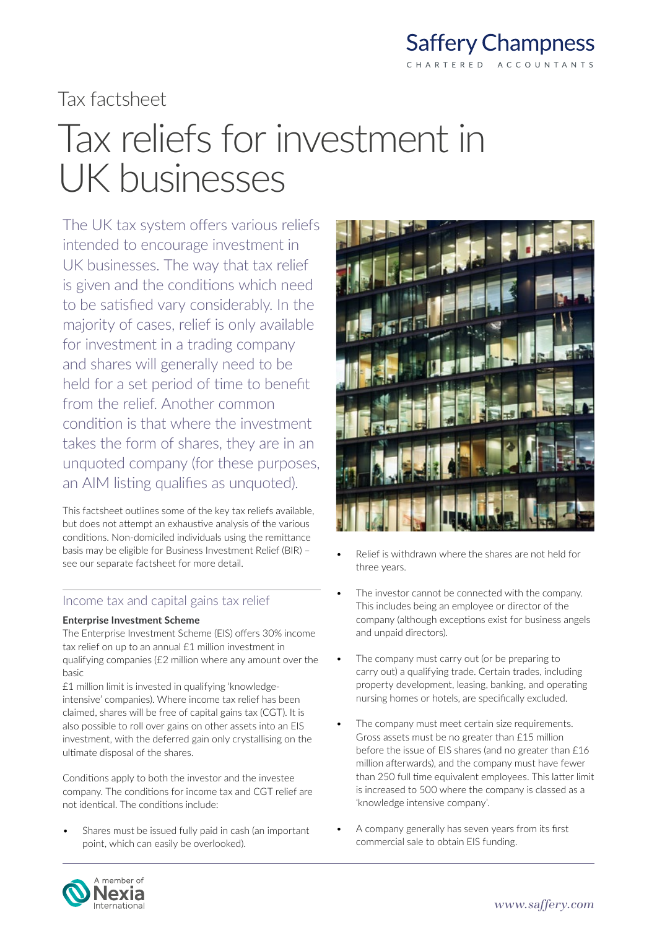

# Tax factsheet

# Tax reliefs for investment in UK businesses

The UK tax system offers various reliefs intended to encourage investment in UK businesses. The way that tax relief is given and the conditions which need to be satisfied vary considerably. In the majority of cases, relief is only available for investment in a trading company and shares will generally need to be held for a set period of time to benefit from the relief. Another common condition is that where the investment takes the form of shares, they are in an unquoted company (for these purposes, an AIM listing qualifies as unquoted).

This factsheet outlines some of the key tax reliefs available, but does not attempt an exhaustive analysis of the various conditions. Non-domiciled individuals using the remittance basis may be eligible for Business Investment Relief (BIR) – see our separate factsheet for more detail.

# Income tax and capital gains tax relief

#### **Enterprise Investment Scheme**

The Enterprise Investment Scheme (EIS) offers 30% income tax relief on up to an annual £1 million investment in qualifying companies (£2 million where any amount over the basic

£1 million limit is invested in qualifying 'knowledgeintensive' companies). Where income tax relief has been claimed, shares will be free of capital gains tax (CGT). It is also possible to roll over gains on other assets into an EIS investment, with the deferred gain only crystallising on the ultimate disposal of the shares.

Conditions apply to both the investor and the investee company. The conditions for income tax and CGT relief are not identical. The conditions include:

• Shares must be issued fully paid in cash (an important point, which can easily be overlooked).



- Relief is withdrawn where the shares are not held for three years.
- The investor cannot be connected with the company. This includes being an employee or director of the company (although exceptions exist for business angels and unpaid directors).
- The company must carry out (or be preparing to carry out) a qualifying trade. Certain trades, including property development, leasing, banking, and operating nursing homes or hotels, are specifically excluded.
- The company must meet certain size requirements. Gross assets must be no greater than £15 million before the issue of EIS shares (and no greater than £16 million afterwards), and the company must have fewer than 250 full time equivalent employees. This latter limit is increased to 500 where the company is classed as a 'knowledge intensive company'.
- A company generally has seven years from its first commercial sale to obtain EIS funding.

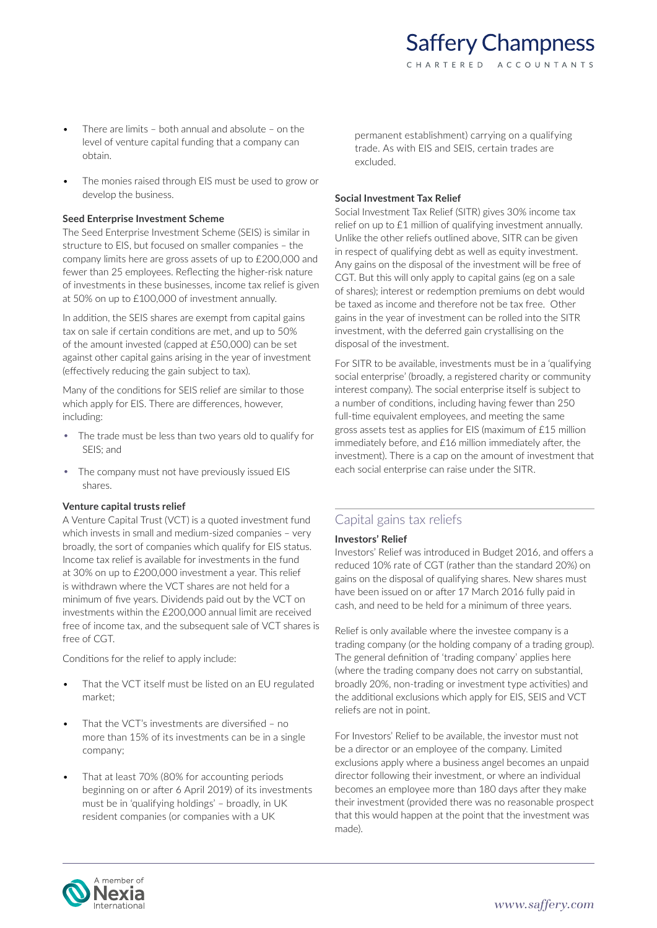- There are limits both annual and absolute on the level of venture capital funding that a company can obtain.
- The monies raised through EIS must be used to grow or develop the business.

#### **Seed Enterprise Investment Scheme**

The Seed Enterprise Investment Scheme (SEIS) is similar in structure to EIS, but focused on smaller companies – the company limits here are gross assets of up to £200,000 and fewer than 25 employees. Reflecting the higher-risk nature of investments in these businesses, income tax relief is given at 50% on up to £100,000 of investment annually.

In addition, the SEIS shares are exempt from capital gains tax on sale if certain conditions are met, and up to 50% of the amount invested (capped at £50,000) can be set against other capital gains arising in the year of investment (effectively reducing the gain subject to tax).

Many of the conditions for SEIS relief are similar to those which apply for EIS. There are differences, however, including:

- The trade must be less than two years old to qualify for SEIS; and
- The company must not have previously issued EIS shares.

#### **Venture capital trusts relief**

A Venture Capital Trust (VCT) is a quoted investment fund which invests in small and medium-sized companies – very broadly, the sort of companies which qualify for EIS status. Income tax relief is available for investments in the fund at 30% on up to £200,000 investment a year. This relief is withdrawn where the VCT shares are not held for a minimum of five years. Dividends paid out by the VCT on investments within the £200,000 annual limit are received free of income tax, and the subsequent sale of VCT shares is free of CGT.

Conditions for the relief to apply include:

- That the VCT itself must be listed on an EU regulated market;
- That the VCT's investments are diversified no more than 15% of its investments can be in a single company;
- That at least 70% (80% for accounting periods beginning on or after 6 April 2019) of its investments must be in 'qualifying holdings' – broadly, in UK resident companies (or companies with a UK

permanent establishment) carrying on a qualifying trade. As with EIS and SEIS, certain trades are excluded.

#### **Social Investment Tax Relief**

Social Investment Tax Relief (SITR) gives 30% income tax relief on up to £1 million of qualifying investment annually. Unlike the other reliefs outlined above, SITR can be given in respect of qualifying debt as well as equity investment. Any gains on the disposal of the investment will be free of CGT. But this will only apply to capital gains (eg on a sale of shares); interest or redemption premiums on debt would be taxed as income and therefore not be tax free. Other gains in the year of investment can be rolled into the SITR investment, with the deferred gain crystallising on the disposal of the investment.

For SITR to be available, investments must be in a 'qualifying social enterprise' (broadly, a registered charity or community interest company). The social enterprise itself is subject to a number of conditions, including having fewer than 250 full-time equivalent employees, and meeting the same gross assets test as applies for EIS (maximum of £15 million immediately before, and £16 million immediately after, the investment). There is a cap on the amount of investment that each social enterprise can raise under the SITR.

# Capital gains tax reliefs

# **Investors' Relief**

Investors' Relief was introduced in Budget 2016, and offers a reduced 10% rate of CGT (rather than the standard 20%) on gains on the disposal of qualifying shares. New shares must have been issued on or after 17 March 2016 fully paid in cash, and need to be held for a minimum of three years.

Relief is only available where the investee company is a trading company (or the holding company of a trading group). The general definition of 'trading company' applies here (where the trading company does not carry on substantial, broadly 20%, non-trading or investment type activities) and the additional exclusions which apply for EIS, SEIS and VCT reliefs are not in point.

For Investors' Relief to be available, the investor must not be a director or an employee of the company. Limited exclusions apply where a business angel becomes an unpaid director following their investment, or where an individual becomes an employee more than 180 days after they make their investment (provided there was no reasonable prospect that this would happen at the point that the investment was made).